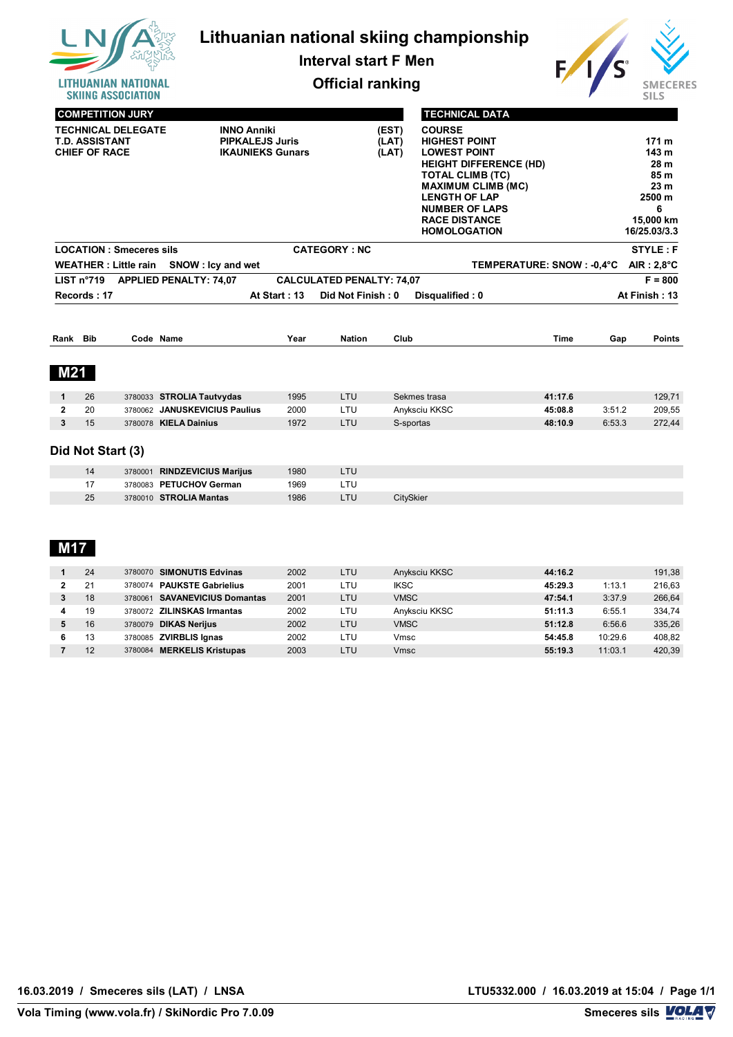

# **Lithuanian national skiing championship**

**Interval start F Men**



**Official ranking**

|                                                                            |            | <b>COMPETITION JURY</b>        |                                                                                                    |      |                                                                                                                                                                                                                                                       |           | <b>TECHNICAL DATA</b> |                                                                                                                     |             |        |                     |
|----------------------------------------------------------------------------|------------|--------------------------------|----------------------------------------------------------------------------------------------------|------|-------------------------------------------------------------------------------------------------------------------------------------------------------------------------------------------------------------------------------------------------------|-----------|-----------------------|---------------------------------------------------------------------------------------------------------------------|-------------|--------|---------------------|
| <b>TECHNICAL DELEGATE</b><br><b>T.D. ASSISTANT</b><br><b>CHIEF OF RACE</b> |            |                                | <b>INNO Anniki</b><br>(EST)<br><b>PIPKALEJS Juris</b><br>(LAT)<br><b>IKAUNIEKS Gunars</b><br>(LAT) |      | <b>COURSE</b><br><b>HIGHEST POINT</b><br><b>LOWEST POINT</b><br><b>HEIGHT DIFFERENCE (HD)</b><br><b>TOTAL CLIMB (TC)</b><br><b>MAXIMUM CLIMB (MC)</b><br><b>LENGTH OF LAP</b><br><b>NUMBER OF LAPS</b><br><b>RACE DISTANCE</b><br><b>HOMOLOGATION</b> |           |                       | 171 <sub>m</sub><br>143 <sub>m</sub><br>28 m<br>85 m<br>23 <sub>m</sub><br>2500 m<br>6<br>15,000 km<br>16/25.03/3.3 |             |        |                     |
|                                                                            |            | <b>LOCATION: Smeceres sils</b> |                                                                                                    |      | <b>CATEGORY: NC</b>                                                                                                                                                                                                                                   |           |                       |                                                                                                                     |             |        | <b>STYLE: F</b>     |
|                                                                            |            | <b>WEATHER: Little rain</b>    | SNOW: Icy and wet                                                                                  |      |                                                                                                                                                                                                                                                       |           |                       | TEMPERATURE: SNOW: -0.4°C                                                                                           |             |        | $AIR: 2.8^{\circ}C$ |
|                                                                            | LIST n°719 |                                | <b>APPLIED PENALTY: 74,07</b>                                                                      |      | <b>CALCULATED PENALTY: 74,07</b>                                                                                                                                                                                                                      |           |                       |                                                                                                                     |             |        | $F = 800$           |
| At Start: 13<br>Did Not Finish: 0<br>Records: 17<br>Disqualified: 0        |            |                                |                                                                                                    |      |                                                                                                                                                                                                                                                       |           | At Finish: 13         |                                                                                                                     |             |        |                     |
|                                                                            |            |                                |                                                                                                    |      |                                                                                                                                                                                                                                                       |           |                       |                                                                                                                     |             |        |                     |
|                                                                            |            |                                | Code Name                                                                                          | Year | <b>Nation</b>                                                                                                                                                                                                                                         | Club      |                       |                                                                                                                     | <b>Time</b> | Gap    | <b>Points</b>       |
| <b>M21</b>                                                                 |            |                                |                                                                                                    |      |                                                                                                                                                                                                                                                       |           |                       |                                                                                                                     |             |        |                     |
| $\mathbf{1}$                                                               | 26         |                                | 3780033 STROLIA Tautvydas                                                                          | 1995 | LTU                                                                                                                                                                                                                                                   |           | Sekmes trasa          |                                                                                                                     | 41:17.6     |        | 129,71              |
| $\mathbf{2}$                                                               | 20         |                                | 3780062 JANUSKEVICIUS Paulius                                                                      | 2000 | LTU                                                                                                                                                                                                                                                   |           | Anyksciu KKSC         |                                                                                                                     | 45:08.8     | 3:51.2 | 209,55              |
| Rank Bib<br>3                                                              | 15         |                                | 3780078 KIELA Dainius                                                                              | 1972 | LTU                                                                                                                                                                                                                                                   | S-sportas |                       |                                                                                                                     | 48:10.9     | 6:53.3 | 272,44              |
|                                                                            |            | Did Not Start (3)              |                                                                                                    |      |                                                                                                                                                                                                                                                       |           |                       |                                                                                                                     |             |        |                     |
|                                                                            | 14         | 3780001                        | <b>RINDZEVICIUS Marijus</b>                                                                        | 1980 | LTU                                                                                                                                                                                                                                                   |           |                       |                                                                                                                     |             |        |                     |
|                                                                            | 17<br>25   |                                | 3780083 PETUCHOV German<br>3780010 STROLIA Mantas                                                  | 1969 | LTU                                                                                                                                                                                                                                                   |           |                       |                                                                                                                     |             |        |                     |

## **M17**

| 24 | 3780070 SIMONUTIS Edvinas               | 2002 | LTU | Anyksciu KKSC | 44:16.2            | 191,38 |
|----|-----------------------------------------|------|-----|---------------|--------------------|--------|
| 21 | <b>PAUKSTE Gabrielius</b><br>3780074    | 2001 | LTU | <b>IKSC</b>   | 45:29.3<br>1:13.1  | 216.63 |
| 18 | <b>SAVANEVICIUS Domantas</b><br>3780061 | 2001 | LTU | <b>VMSC</b>   | 3:37.9<br>47:54.1  | 266,64 |
| 19 | 3780072 ZILINSKAS Irmantas              | 2002 | LTU | Anyksciu KKSC | 6:55.1<br>51:11.3  | 334.74 |
| 16 | 3780079 <b>DIKAS Nerijus</b>            | 2002 | LTU | <b>VMSC</b>   | 6:56.6<br>51:12.8  | 335,26 |
| 13 | 3780085 ZVIRBLIS Ignas                  | 2002 | LTU | Vmsc          | 10:29.6<br>54:45.8 | 408.82 |
| 12 | <b>MERKELIS Kristupas</b><br>3780084    | 2003 | LTU | Vmsc          | 11:03.1<br>55:19.3 | 420,39 |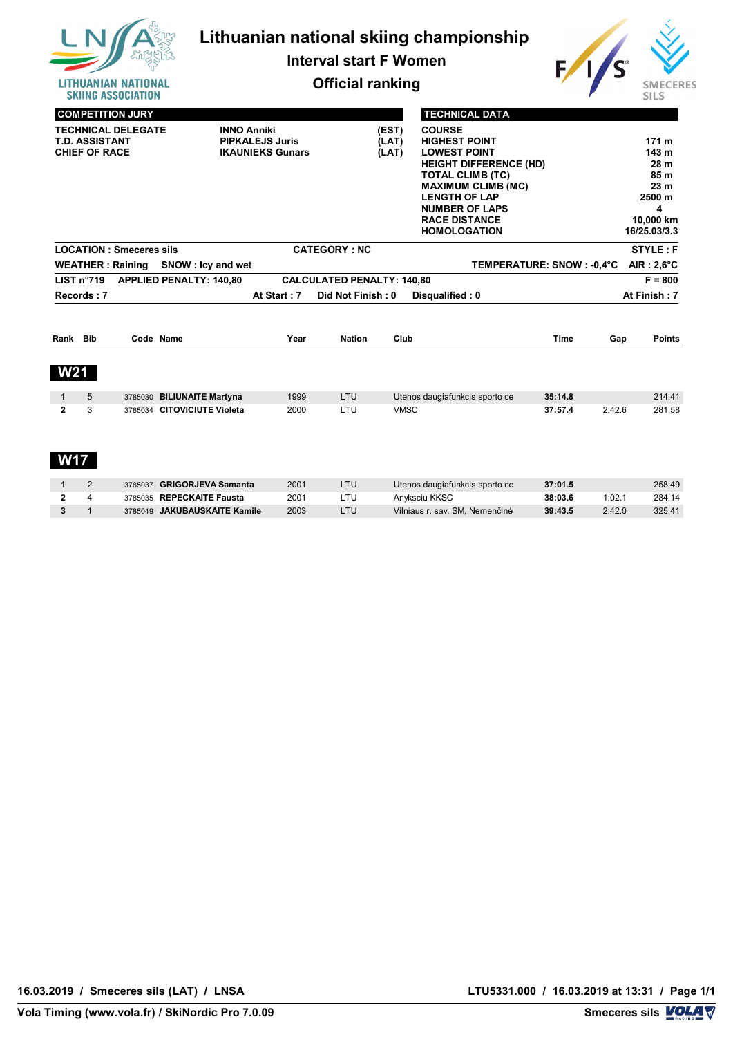

**Interval start F Women**



**Official ranking**

| JINIINU MJJUUIMIIUN            |                                |                         |                                   |             |                                |             |        | ت∟ ⊥ت                |
|--------------------------------|--------------------------------|-------------------------|-----------------------------------|-------------|--------------------------------|-------------|--------|----------------------|
| <b>COMPETITION JURY</b>        |                                |                         |                                   |             | <b>TECHNICAL DATA</b>          |             |        |                      |
| <b>TECHNICAL DELEGATE</b>      |                                | <b>INNO Anniki</b>      |                                   | (EST)       | <b>COURSE</b>                  |             |        |                      |
| <b>T.D. ASSISTANT</b>          |                                | <b>PIPKALEJS Juris</b>  |                                   | (LAT)       | <b>HIGHEST POINT</b>           |             |        | 171 <sub>m</sub>     |
| <b>CHIEF OF RACE</b>           |                                | <b>IKAUNIEKS Gunars</b> |                                   | (LAT)       | <b>LOWEST POINT</b>            |             |        | 143 m                |
|                                |                                |                         |                                   |             | <b>HEIGHT DIFFERENCE (HD)</b>  |             |        | 28 m                 |
|                                |                                |                         |                                   |             | <b>TOTAL CLIMB (TC)</b>        |             |        | 85 m                 |
|                                |                                |                         |                                   |             | <b>MAXIMUM CLIMB (MC)</b>      |             |        | 23 <sub>m</sub>      |
|                                |                                |                         |                                   |             | <b>LENGTH OF LAP</b>           |             |        | 2500 m               |
|                                |                                |                         |                                   |             | <b>NUMBER OF LAPS</b>          |             |        | 4                    |
|                                |                                |                         |                                   |             | <b>RACE DISTANCE</b>           |             |        | 10,000 km            |
|                                |                                |                         |                                   |             | <b>HOMOLOGATION</b>            |             |        | 16/25.03/3.3         |
| <b>LOCATION: Smeceres sils</b> |                                |                         | <b>CATEGORY: NC</b>               |             |                                |             |        | <b>STYLE: F</b>      |
| <b>WEATHER: Raining</b>        | SNOW: Icy and wet              |                         |                                   |             | TEMPERATURE: SNOW : -0,4°C     |             |        | AIR: $2,6^{\circ}$ C |
| LIST n°719                     | <b>APPLIED PENALTY: 140,80</b> |                         | <b>CALCULATED PENALTY: 140,80</b> |             |                                |             |        | $F = 800$            |
| Records: 7                     |                                | At Start: 7             | Did Not Finish: 0                 |             | Disqualified: 0                |             |        | At Finish: 7         |
|                                |                                |                         |                                   |             |                                |             |        |                      |
| Rank Bib                       | Code Name                      | Year                    | <b>Nation</b>                     | Club        |                                | <b>Time</b> | Gap    | <b>Points</b>        |
| <b>W21</b>                     |                                |                         |                                   |             |                                |             |        |                      |
| 5<br>$\mathbf{1}$              | 3785030 BILIUNAITE Martyna     | 1999                    | <b>LTU</b>                        |             | Utenos daugiafunkcis sporto ce | 35:14.8     |        | 214,41               |
| 3<br>$\mathbf{2}$              | 3785034 CITOVICIUTE Violeta    | 2000                    | LTU                               | <b>VMSC</b> |                                | 37:57.4     | 2:42.6 | 281,58               |
|                                |                                |                         |                                   |             |                                |             |        |                      |
|                                |                                |                         |                                   |             |                                |             |        |                      |
|                                |                                |                         |                                   |             |                                |             |        |                      |

|  | 3785037 GRIGORJEVA Samanta   | 2001 | Utenos daugiafunkcis sporto ce | 37:01.5 |        | 258.49 |
|--|------------------------------|------|--------------------------------|---------|--------|--------|
|  | 3785035 REPECKAITE Fausta    | 200٬ | Anvksciu KKSC                  | 38:03.6 | 1:02.7 | 284.14 |
|  | 3785049 JAKUBAUSKAITE Kamile | 2003 | Vilniaus r. sav. SM. Nemenčinė | 39:43.5 | 2:42.0 | 325.41 |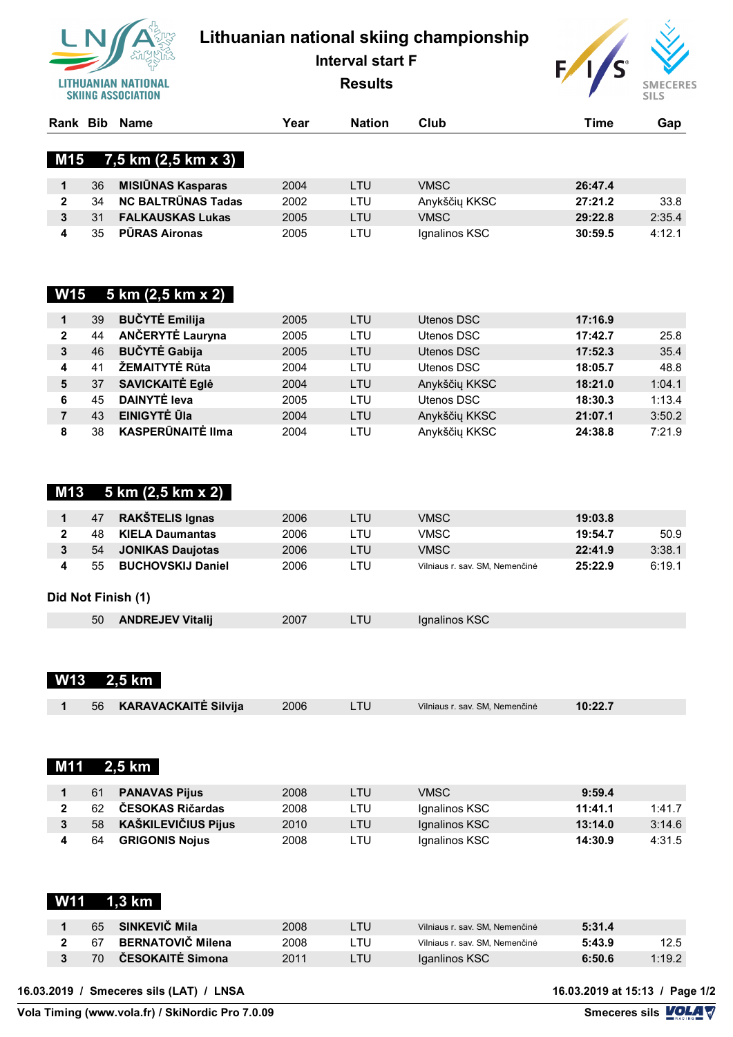

# **Lithuanian national skiing championship**

**Interval start F**

**Results**



| Rank         | <b>Bib</b> | Name                      | Year | <b>Nation</b> | Club          | Time    | Gap    |
|--------------|------------|---------------------------|------|---------------|---------------|---------|--------|
|              |            | M15 $7,5$ km (2,5 km x 3) |      |               |               |         |        |
|              | 36         | <b>MISIŪNAS Kasparas</b>  | 2004 | LTU           | VMSC          | 26:47.4 |        |
| $\mathbf{2}$ | 34         | <b>NC BALTRUNAS Tadas</b> | 2002 | LTU           | Anykščių KKSC | 27:21.2 | 33.8   |
|              | 31         | <b>FALKAUSKAS Lukas</b>   | 2005 | LTU           | VMSC          | 29:22.8 | 2:35.4 |
|              | 35         | <b>PURAS Aironas</b>      | 2005 | LTU           | Ignalinos KSC | 30:59.5 | 4:12.1 |

### **W15 5 km (2,5 km x 2)**

|   | 39             | <b>BUČYTĖ Emilija</b>    | 2005 | LTU.       | Utenos DSC    | 17:16.9 |        |
|---|----------------|--------------------------|------|------------|---------------|---------|--------|
| 2 | 44             | ANČERYTĖ Lauryna         | 2005 | LTU        | Utenos DSC    | 17:42.7 | 25.8   |
| 3 | 46             | <b>BUČYTĖ Gabija</b>     | 2005 | LTU        | Utenos DSC    | 17:52.3 | 35.4   |
| 4 | 4 <sup>1</sup> | ŽEMAITYTĖ Rūta           | 2004 | <b>LTU</b> | Utenos DSC    | 18:05.7 | 48.8   |
| 5 | 37             | <b>SAVICKAITE Egle</b>   | 2004 | LTU        | Anykščių KKSC | 18:21.0 | 1:04.1 |
| 6 | 45             | <b>DAINYTE leva</b>      | 2005 | LTU        | Utenos DSC    | 18:30.3 | 1:13.4 |
|   | 43             | <b>EINIGYTĖ ŪIa</b>      | 2004 | LTU        | Anykščių KKSC | 21:07.1 | 3:50.2 |
| 8 | 38             | <b>KASPERŪNAITĖ Ilma</b> | 2004 | _TU        | Anykščių KKSC | 24:38.8 | 7:21.9 |

#### **M13 5 km (2,5 km x 2)**

| 47 | RAKŠTELIS Ignas          | 2006 | LTU | VMSC                           | 19:03.8 |        |
|----|--------------------------|------|-----|--------------------------------|---------|--------|
| 48 | <b>KIELA Daumantas</b>   | 2006 | ∟TU | VMSC                           | 19:54.7 | 50.9   |
| 54 | <b>JONIKAS Daujotas</b>  | 2006 | LTU | VMSC                           | 22:41.9 | 3:38.1 |
| 55 | <b>BUCHOVSKIJ Daniel</b> | 2006 | ∟TU | Vilniaus r. sav. SM. Nemenčinė | 25:22.9 | 6:19.1 |
|    |                          |      |     |                                |         |        |

#### **Did Not Finish (1)**

| <b>ANDREJEV Vitalij</b><br>50 | 2007 | <b>I</b> dianalinos KSC |  |
|-------------------------------|------|-------------------------|--|

| <b>W13</b>           |    | $2,5$ km                    |      |            |                                |         |        |
|----------------------|----|-----------------------------|------|------------|--------------------------------|---------|--------|
| 1                    | 56 | <b>KARAVACKAITĖ Silvija</b> | 2006 | <b>LTU</b> | Vilniaus r. sav. SM, Nemenčinė | 10:22.7 |        |
| <b>M11</b>           |    | 2,5 km                      |      |            |                                |         |        |
|                      |    |                             |      |            |                                |         |        |
| $\blacktriangleleft$ | 61 | <b>PANAVAS Pijus</b>        | 2008 | <b>LTU</b> | <b>VMSC</b>                    | 9:59.4  |        |
| $\mathbf{2}$         | 62 | ČESOKAS Ričardas            | 2008 | LTU        | Ignalinos KSC                  | 11:41.1 | 1:41.7 |
| $\mathbf{3}$         | 58 | <b>KAŠKILEVIČIUS Pijus</b>  | 2010 | <b>LTU</b> | Ignalinos KSC                  | 13:14.0 | 3:14.6 |
| 4                    | 64 | <b>GRIGONIS Nojus</b>       | 2008 | LTU        | Ignalinos KSC                  | 14:30.9 | 4:31.5 |
| <b>W11</b>           |    | 1,3 km                      |      |            |                                |         |        |

| 65  | SINKEVIČ Mila            | 2008 | ZTU  | Vilniaus r. sav. SM. Nemenčinė | 5:31.4 |        |
|-----|--------------------------|------|------|--------------------------------|--------|--------|
| -67 | <b>BERNATOVIČ Milena</b> | 2008 | - TU | Vilniaus r. sav. SM. Nemenčinė | 5:43.9 | 12.5   |
| 70  | ČESOKAITĖ Simona         | 2011 | 7U.  | Iganlinos KSC                  | 6:50.6 | 1:19.2 |